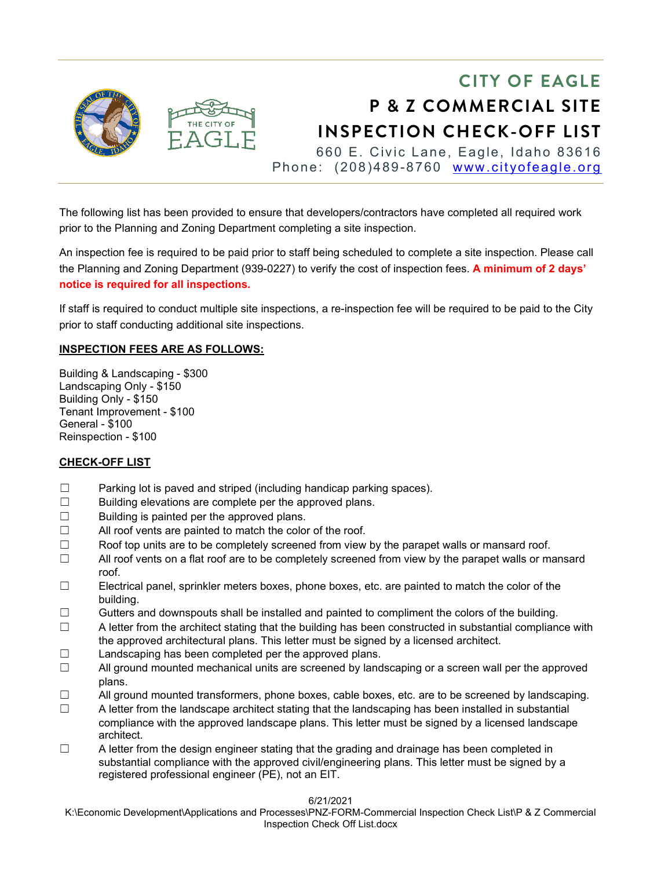

The following list has been provided to ensure that developers/contractors have completed all required work prior to the Planning and Zoning Department completing a site inspection.

An inspection fee is required to be paid prior to staff being scheduled to complete a site inspection. Please call the Planning and Zoning Department (939-0227) to verify the cost of inspection fees. **A minimum of 2 days' notice is required for all inspections.** 

If staff is required to conduct multiple site inspections, a re-inspection fee will be required to be paid to the City prior to staff conducting additional site inspections.

## **INSPECTION FEES ARE AS FOLLOWS:**

Building & Landscaping - \$300 Landscaping Only - \$150 Building Only - \$150 Tenant Improvement - \$100 General - \$100 Reinspection - \$100

## **CHECK-OFF LIST**

- ☐ Parking lot is paved and striped (including handicap parking spaces).
- ☐ Building elevations are complete per the approved plans.
- $\Box$  Building is painted per the approved plans.
- ☐ All roof vents are painted to match the color of the roof.
- $\Box$  Roof top units are to be completely screened from view by the parapet walls or mansard roof.
- $\Box$  All roof vents on a flat roof are to be completely screened from view by the parapet walls or mansard roof.
- $\Box$  Electrical panel, sprinkler meters boxes, phone boxes, etc. are painted to match the color of the building.
- $\Box$  Gutters and downspouts shall be installed and painted to compliment the colors of the building.
- $\Box$  A letter from the architect stating that the building has been constructed in substantial compliance with the approved architectural plans. This letter must be signed by a licensed architect.
- ☐ Landscaping has been completed per the approved plans.
- $\Box$  All ground mounted mechanical units are screened by landscaping or a screen wall per the approved plans.
- $\Box$  All ground mounted transformers, phone boxes, cable boxes, etc. are to be screened by landscaping.
- $\Box$  A letter from the landscape architect stating that the landscaping has been installed in substantial compliance with the approved landscape plans. This letter must be signed by a licensed landscape architect.
- $\Box$  A letter from the design engineer stating that the grading and drainage has been completed in substantial compliance with the approved civil/engineering plans. This letter must be signed by a registered professional engineer (PE), not an EIT.

6/21/2021